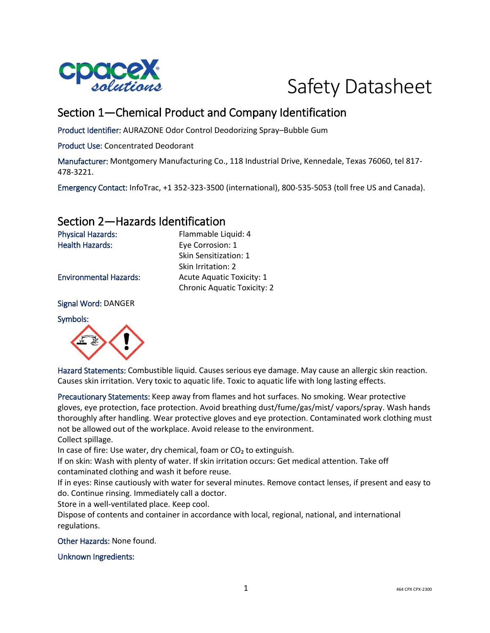



# Section 1—Chemical Product and Company Identification

Product Identifier: AURAZONE Odor Control Deodorizing Spray–Bubble Gum

Product Use: Concentrated Deodorant

Manufacturer: Montgomery Manufacturing Co., 118 Industrial Drive, Kennedale, Texas 76060, tel 817- 478-3221.

Emergency Contact: InfoTrac, +1 352-323-3500 (international), 800-535-5053 (toll free US and Canada).

#### Section 2—Hazards Identification

Physical Hazards: Flammable Liquid: 4 Health Hazards: Eye Corrosion: 1

Signal Word: DANGER

Symbols:



Hazard Statements: Combustible liquid. Causes serious eye damage. May cause an allergic skin reaction. Causes skin irritation. Very toxic to aquatic life. Toxic to aquatic life with long lasting effects.

Precautionary Statements: Keep away from flames and hot surfaces. No smoking. Wear protective gloves, eye protection, face protection. Avoid breathing dust/fume/gas/mist/ vapors/spray. Wash hands thoroughly after handling. Wear protective gloves and eye protection. Contaminated work clothing must not be allowed out of the workplace. Avoid release to the environment.

Collect spillage.

In case of fire: Use water, dry chemical, foam or  $CO<sub>2</sub>$  to extinguish.

If on skin: Wash with plenty of water. If skin irritation occurs: Get medical attention. Take off contaminated clothing and wash it before reuse.

If in eyes: Rinse cautiously with water for several minutes. Remove contact lenses, if present and easy to do. Continue rinsing. Immediately call a doctor.

Store in a well-ventilated place. Keep cool.

Dispose of contents and container in accordance with local, regional, national, and international regulations.

Other Hazards: None found.

Unknown Ingredients:

Skin Sensitization: 1 Skin Irritation: 2 Environmental Hazards: Acute Aquatic Toxicity: 1 Chronic Aquatic Toxicity: 2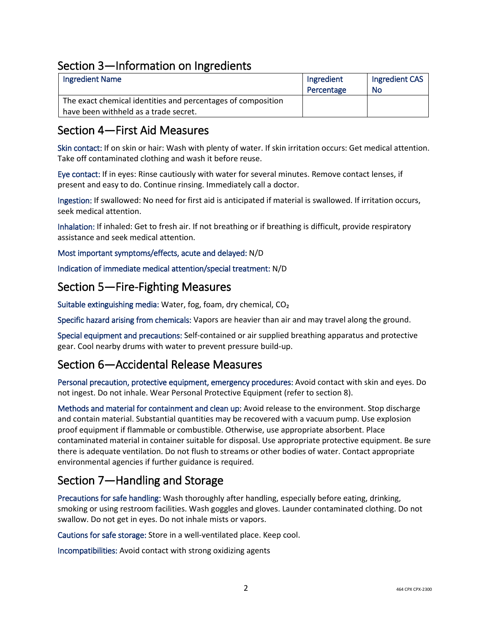# Section 3—Information on Ingredients

| <b>Ingredient Name</b>                                       | Ingredient | Ingredient CAS |
|--------------------------------------------------------------|------------|----------------|
|                                                              | Percentage | No             |
| The exact chemical identities and percentages of composition |            |                |
| have been withheld as a trade secret.                        |            |                |

### Section 4—First Aid Measures

Skin contact: If on skin or hair: Wash with plenty of water. If skin irritation occurs: Get medical attention. Take off contaminated clothing and wash it before reuse.

Eye contact: If in eyes: Rinse cautiously with water for several minutes. Remove contact lenses, if present and easy to do. Continue rinsing. Immediately call a doctor.

Ingestion: If swallowed: No need for first aid is anticipated if material is swallowed. If irritation occurs, seek medical attention.

Inhalation: If inhaled: Get to fresh air. If not breathing or if breathing is difficult, provide respiratory assistance and seek medical attention.

Most important symptoms/effects, acute and delayed: N/D

Indication of immediate medical attention/special treatment: N/D

#### Section 5—Fire-Fighting Measures

Suitable extinguishing media: Water, fog, foam, dry chemical, CO₂

Specific hazard arising from chemicals: Vapors are heavier than air and may travel along the ground.

Special equipment and precautions: Self-contained or air supplied breathing apparatus and protective gear. Cool nearby drums with water to prevent pressure build-up.

# Section 6—Accidental Release Measures

Personal precaution, protective equipment, emergency procedures: Avoid contact with skin and eyes. Do not ingest. Do not inhale. Wear Personal Protective Equipment (refer to section 8).

Methods and material for containment and clean up: Avoid release to the environment. Stop discharge and contain material. Substantial quantities may be recovered with a vacuum pump. Use explosion proof equipment if flammable or combustible. Otherwise, use appropriate absorbent. Place contaminated material in container suitable for disposal. Use appropriate protective equipment. Be sure there is adequate ventilation. Do not flush to streams or other bodies of water. Contact appropriate environmental agencies if further guidance is required.

# Section 7—Handling and Storage

Precautions for safe handling: Wash thoroughly after handling, especially before eating, drinking, smoking or using restroom facilities. Wash goggles and gloves. Launder contaminated clothing. Do not swallow. Do not get in eyes. Do not inhale mists or vapors.

Cautions for safe storage: Store in a well-ventilated place. Keep cool.

Incompatibilities: Avoid contact with strong oxidizing agents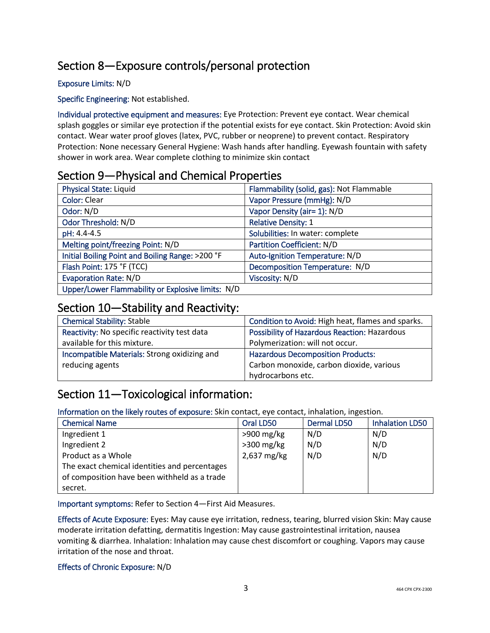# Section 8—Exposure controls/personal protection

#### Exposure Limits: N/D

Specific Engineering: Not established.

Individual protective equipment and measures: Eye Protection: Prevent eye contact. Wear chemical splash goggles or similar eye protection if the potential exists for eye contact. Skin Protection: Avoid skin contact. Wear water proof gloves (latex, PVC, rubber or neoprene) to prevent contact. Respiratory Protection: None necessary General Hygiene: Wash hands after handling. Eyewash fountain with safety shower in work area. Wear complete clothing to minimize skin contact

### Section 9—Physical and Chemical Properties

| <b>Physical State: Liquid</b>                     | Flammability (solid, gas): Not Flammable |
|---------------------------------------------------|------------------------------------------|
| <b>Color: Clear</b>                               | Vapor Pressure (mmHg): N/D               |
| Odor: N/D                                         | Vapor Density (air= 1): N/D              |
| Odor Threshold: N/D                               | <b>Relative Density: 1</b>               |
| pH: 4.4-4.5                                       | Solubilities: In water: complete         |
| Melting point/freezing Point: N/D                 | Partition Coefficient: N/D               |
| Initial Boiling Point and Boiling Range: >200 °F  | Auto-Ignition Temperature: N/D           |
| Flash Point: 175 °F (TCC)                         | Decomposition Temperature: N/D           |
| <b>Evaporation Rate: N/D</b>                      | Viscosity: N/D                           |
| Upper/Lower Flammability or Explosive limits: N/D |                                          |

### Section 10—Stability and Reactivity:

| <b>Chemical Stability: Stable</b>            | Condition to Avoid: High heat, flames and sparks. |
|----------------------------------------------|---------------------------------------------------|
| Reactivity: No specific reactivity test data | Possibility of Hazardous Reaction: Hazardous      |
| available for this mixture.                  | Polymerization: will not occur.                   |
| Incompatible Materials: Strong oxidizing and | <b>Hazardous Decomposition Products:</b>          |
| reducing agents                              | Carbon monoxide, carbon dioxide, various          |
|                                              | hydrocarbons etc.                                 |

# Section 11—Toxicological information:

Information on the likely routes of exposure: Skin contact, eye contact, inhalation, ingestion.

| <b>Chemical Name</b>                          | Oral LD50    | Dermal LD50 | <b>Inhalation LD50</b> |
|-----------------------------------------------|--------------|-------------|------------------------|
| Ingredient 1                                  | $>900$ mg/kg | N/D         | N/D                    |
| Ingredient 2                                  | $>300$ mg/kg | N/D         | N/D                    |
| Product as a Whole                            | 2,637 mg/kg  | N/D         | N/D                    |
| The exact chemical identities and percentages |              |             |                        |
| of composition have been withheld as a trade  |              |             |                        |
| secret.                                       |              |             |                        |

Important symptoms: Refer to Section 4—First Aid Measures.

Effects of Acute Exposure: Eyes: May cause eye irritation, redness, tearing, blurred vision Skin: May cause moderate irritation defatting, dermatitis Ingestion: May cause gastrointestinal irritation, nausea vomiting & diarrhea. Inhalation: Inhalation may cause chest discomfort or coughing. Vapors may cause irritation of the nose and throat.

#### Effects of Chronic Exposure: N/D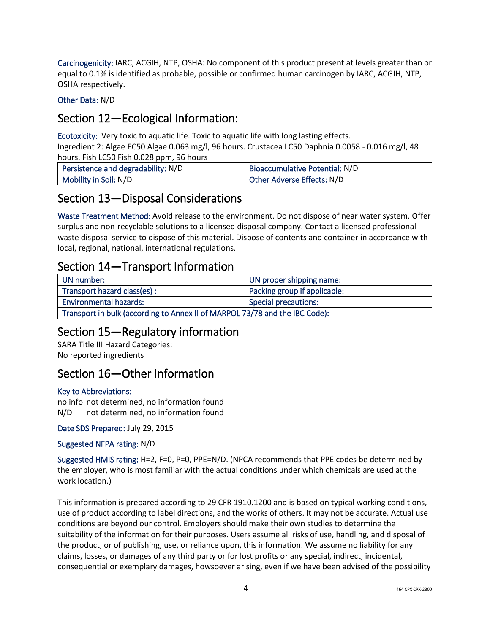Carcinogenicity: IARC, ACGIH, NTP, OSHA: No component of this product present at levels greater than or equal to 0.1% is identified as probable, possible or confirmed human carcinogen by IARC, ACGIH, NTP, OSHA respectively.

Other Data: N/D

# Section 12—Ecological Information:

Ecotoxicity: Very toxic to aquatic life. Toxic to aquatic life with long lasting effects.

Ingredient 2: Algae EC50 Algae 0.063 mg/l, 96 hours. Crustacea LC50 Daphnia 0.0058 - 0.016 mg/l, 48 hours. Fish LC50 Fish 0.028 ppm, 96 hours

| Persistence and degradability: N/D | Bioaccumulative Potential: N/D    |
|------------------------------------|-----------------------------------|
| Mobility in Soil: N/D              | <b>Other Adverse Effects: N/D</b> |

### Section 13—Disposal Considerations

Waste Treatment Method: Avoid release to the environment. Do not dispose of near water system. Offer surplus and non-recyclable solutions to a licensed disposal company. Contact a licensed professional waste disposal service to dispose of this material. Dispose of contents and container in accordance with local, regional, national, international regulations.

### Section 14—Transport Information

| UN number:                                                                  | UN proper shipping name:     |
|-----------------------------------------------------------------------------|------------------------------|
| Transport hazard class(es) :                                                | Packing group if applicable: |
| <b>Environmental hazards:</b><br>Special precautions:                       |                              |
| Transport in bulk (according to Annex II of MARPOL 73/78 and the IBC Code): |                              |

# Section 15—Regulatory information

SARA Title III Hazard Categories: No reported ingredients

# Section 16—Other Information

#### Key to Abbreviations:

no info not determined, no information found N/D not determined, no information found

Date SDS Prepared: July 29, 2015

#### Suggested NFPA rating: N/D

Suggested HMIS rating: H=2, F=0, P=0, PPE=N/D. (NPCA recommends that PPE codes be determined by the employer, who is most familiar with the actual conditions under which chemicals are used at the work location.)

This information is prepared according to 29 CFR 1910.1200 and is based on typical working conditions, use of product according to label directions, and the works of others. It may not be accurate. Actual use conditions are beyond our control. Employers should make their own studies to determine the suitability of the information for their purposes. Users assume all risks of use, handling, and disposal of the product, or of publishing, use, or reliance upon, this information. We assume no liability for any claims, losses, or damages of any third party or for lost profits or any special, indirect, incidental, consequential or exemplary damages, howsoever arising, even if we have been advised of the possibility